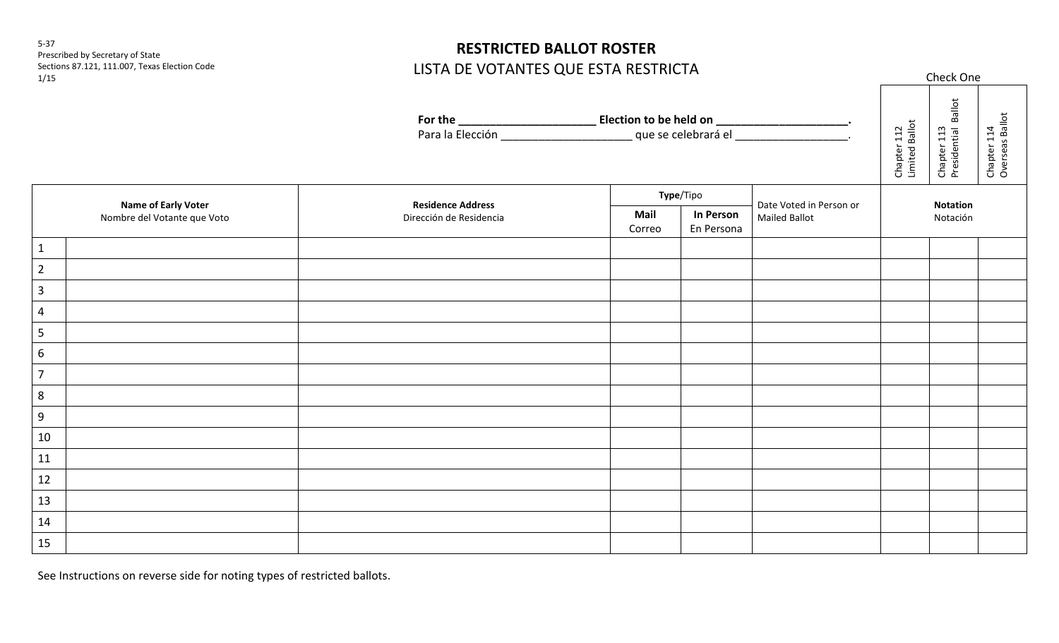5-37 Prescribed by Secretary of State Sections 87.121, 111.007, Texas Election Code 1/15

## **RESTRICTED BALLOT ROSTER** LISTA DE VOTANTES QUE ESTA RESTRICTA

Check One

|                                                           |  |                          |                |                                |                         | Chapter 112<br>Limited Ballot | Chapter 113<br>Presidential Ballot | Chapter 114<br>Overseas Ballot |
|-----------------------------------------------------------|--|--------------------------|----------------|--------------------------------|-------------------------|-------------------------------|------------------------------------|--------------------------------|
| <b>Name of Early Voter</b><br>Nombre del Votante que Voto |  | <b>Residence Address</b> | Type/Tipo      |                                | Date Voted in Person or | <b>Notation</b>               |                                    |                                |
|                                                           |  | Dirección de Residencia  | Mail<br>Correo | <b>In Person</b><br>En Persona | <b>Mailed Ballot</b>    |                               | Notación                           |                                |
| $\mathbf{1}$                                              |  |                          |                |                                |                         |                               |                                    |                                |
| $\overline{2}$                                            |  |                          |                |                                |                         |                               |                                    |                                |
| $\overline{3}$                                            |  |                          |                |                                |                         |                               |                                    |                                |
| $\overline{4}$                                            |  |                          |                |                                |                         |                               |                                    |                                |
| 5                                                         |  |                          |                |                                |                         |                               |                                    |                                |
| $\boldsymbol{6}$                                          |  |                          |                |                                |                         |                               |                                    |                                |
| $\overline{7}$                                            |  |                          |                |                                |                         |                               |                                    |                                |
| 8                                                         |  |                          |                |                                |                         |                               |                                    |                                |
| $9\,$                                                     |  |                          |                |                                |                         |                               |                                    |                                |
| $10\,$                                                    |  |                          |                |                                |                         |                               |                                    |                                |
| $11\,$                                                    |  |                          |                |                                |                         |                               |                                    |                                |
| $12\,$                                                    |  |                          |                |                                |                         |                               |                                    |                                |
| 13                                                        |  |                          |                |                                |                         |                               |                                    |                                |
| $14\,$                                                    |  |                          |                |                                |                         |                               |                                    |                                |
| 15                                                        |  |                          |                |                                |                         |                               |                                    |                                |

See Instructions on reverse side for noting types of restricted ballots.